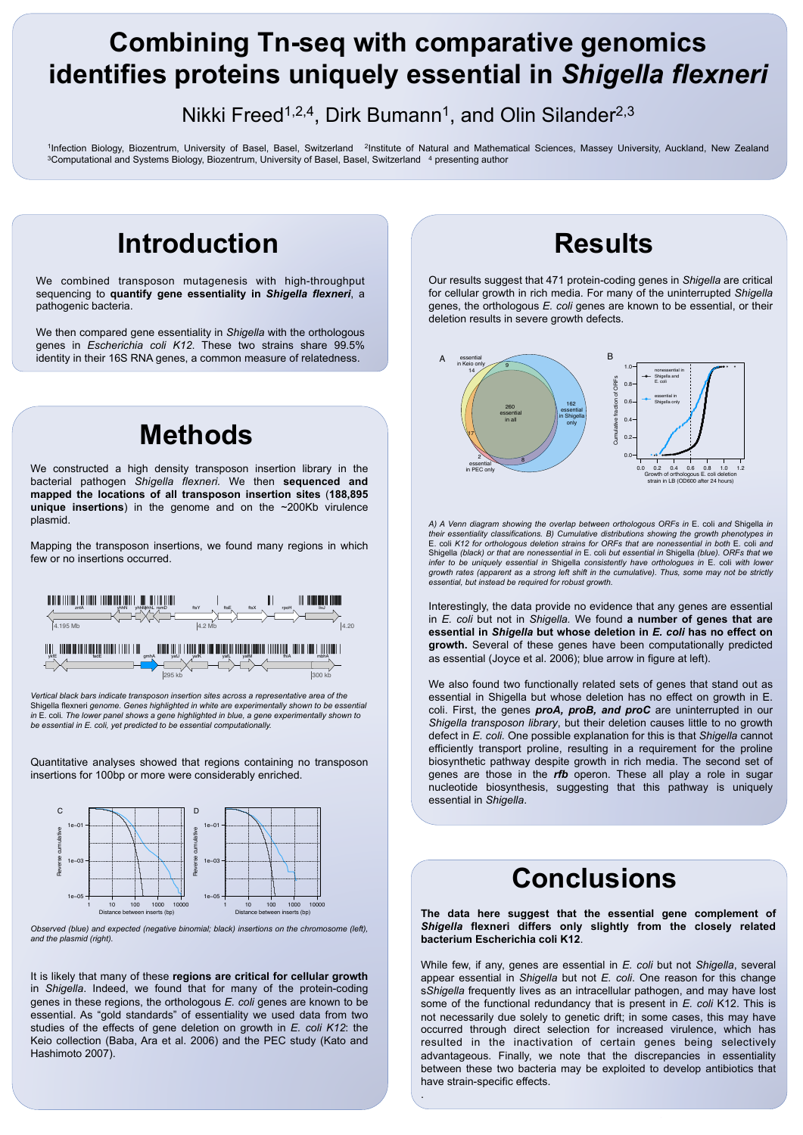We combined transposon mutagenesis with high-throughput sequencing to **quantify gene essentiality in** *Shigella flexneri*, a



#### pathogenic bacteria.

We then compared gene essentiality in *Shigella* with the orthologous genes in *Escherichia coli K12*. These two strains share 99.5% identity in their 16S RNA genes, a common measure of relatedness.

# **Combining Tn-seq with comparative genomics identifies proteins uniquely essential in** *Shigella flexneri*

### Nikki Freed<sup>1,2,4</sup>, Dirk Bumann<sup>1</sup>, and Olin Silander<sup>2,3</sup>

<sup>1</sup>Infection Biology, Biozentrum, University of Basel, Basel, Switzerland <sup>2</sup>Institute of Natural and Mathematical Sciences, Massey University, Auckland, New Zealand <sup>3</sup>Computational and Systems Biology, Biozentrum, University of Basel, Basel, Switzerland <sup>4</sup> presenting author

> Our results suggest that 471 protein-coding genes in *Shigella* are critical for cellular growth in rich media. For many of the uninterrupted *Shigella*



*A) A Venn diagram showing the overlap between orthologous ORFs in* E. coli *and* Shigella *in their essentiality classifications. B) Cumulative distributions showing the growth phenotypes in*  E. coli *K12 for orthologous deletion strains for ORFs that are nonessential in both* E*.* coli *and*  Shigella *(black) or that are nonessential in* E. coli *but essential in* Shigella *(blue). ORFs that we infer to be uniquely essential in* Shigella *consistently have orthologues in* E. coli *with lower growth rates (apparent as a strong left shift in the cumulative). Thus, some may not be strictly essential, but instead be required for robust growth.* 

Interestingly, the data provide no evidence that any genes are essential in *E. coli* but not in *Shigella.* We found **a number of genes that are essential in** *Shigella* **but whose deletion in** *E. coli* **has no effect on growth.** Several of these genes have been computationally predicted as essential (Joyce et al. 2006); blue arrow in figure at left).

We also found two functionally related sets of genes that stand out as essential in Shigella but whose deletion has no effect on growth in E. coli. First, the genes *proA, proB, and proC* are uninterrupted in our *Shigella transposon library*, but their deletion causes little to no growth defect in *E. coli.* One possible explanation for this is that *Shigella* cannot efficiently transport proline, resulting in a requirement for the proline biosynthetic pathway despite growth in rich media. The second set of genes are those in the *rfb* operon. These all play a role in sugar nucleotide biosynthesis, suggesting that this pathway is uniquely essential in *Shigella*.

### **Introduction Results**

**The data here suggest that the essential gene complement of**  *Shigella* **flexneri differs only slightly from the closely related bacterium Escherichia coli K12**.

While few, if any, genes are essential in *E. coli* but not *Shigella*, several appear essential in *Shigella* but not *E. coli*. One reason for this change s*Shigella* frequently lives as an intracellular pathogen, and may have lost some of the functional redundancy that is present in *E. coli* K12. This is not necessarily due solely to genetic drift; in some cases, this may have occurred through direct selection for increased virulence, which has resulted in the inactivation of certain genes being selectively advantageous. Finally, we note that the discrepancies in essentiality between these two bacteria may be exploited to develop antibiotics that have strain-specific effects.

.

### **Conclusions**

## **Methods**

We constructed a high density transposon insertion library in the bacterial pathogen *Shigella flexneri.* We then **sequenced and mapped the locations of all transposon insertion sites** (**188,895 unique insertions**) in the genome and on the ~200Kb virulence plasmid.

Mapping the transposon insertions, we found many regions in which few or no insertions occurred.

*Observed (blue) and expected (negative binomial; black) insertions on the chromosome (left), and the plasmid (right).* 

It is likely that many of these **regions are critical for cellular growth**  in *Shigella*. Indeed, we found that for many of the protein-coding genes in these regions, the orthologous *E. coli* genes are known to be essential. As "gold standards" of essentiality we used data from two studies of the effects of gene deletion on growth in *E. coli K12*: the Keio collection (Baba, Ara et al. 2006) and the PEC study (Kato and Hashimoto 2007).

Distance between inserts (bp)



Distance between inserts (bp)





**Matube**<br>Method in sites across a replo<br>Aighlighted in white are experime *Vertical black bars indicate transposon insertion sites across a representative area of the*  Shigella flexneri genome. Genes highlighted in white are experimentally shown to be essential in E. coli*. The lower panel shows a gene highlighted in blue, a gene experimentally shown to* be essential in E. coli, yet predicted to be essential computationally. rd<br>http:// hlack hars indicate transposon insertion sites  $\overline{\phantom{0}}$ vv<br>Ih<br>Iti

Quantitative analyses showed that regions containing no transposon insertions for 100bp or more were considerably enriched. 59